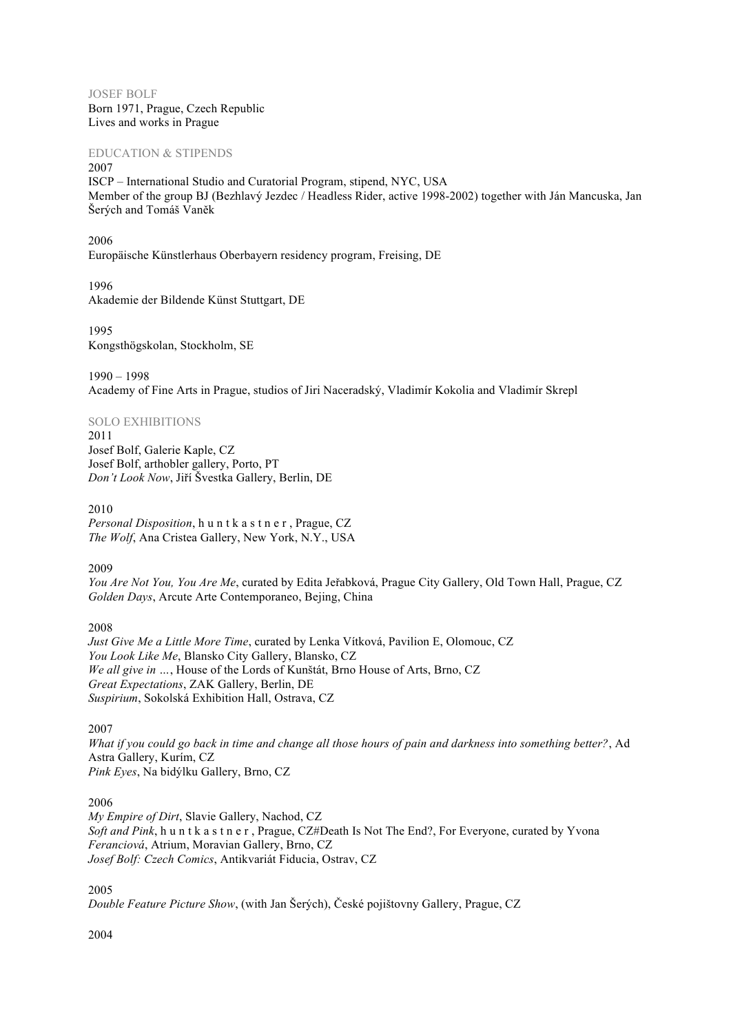JOSEF BOLF Born 1971, Prague, Czech Republic Lives and works in Prague

EDUCATION & STIPENDS 2007

ISCP – International Studio and Curatorial Program, stipend, NYC, USA Member of the group BJ (Bezhlavý Jezdec / Headless Rider, active 1998-2002) together with Ján Mancuska, Jan Šerých and Tomáš Vaněk

2006 Europäische Künstlerhaus Oberbayern residency program, Freising, DE

1996 Akademie der Bildende Künst Stuttgart, DE

1995 Kongsthögskolan, Stockholm, SE

1990 – 1998 Academy of Fine Arts in Prague, studios of Jiri Naceradský, Vladimír Kokolia and Vladimír Skrepl

## SOLO EXHIBITIONS

2011 Josef Bolf, Galerie Kaple, CZ Josef Bolf, arthobler gallery, Porto, PT *Don't Look Now*, Jiří Švestka Gallery, Berlin, DE

2010 *Personal Disposition*, h u n t k a s t n e r , Prague, CZ *The Wolf*, Ana Cristea Gallery, New York, N.Y., USA

2009

*You Are Not You, You Are Me*, curated by Edita Jeřabková, Prague City Gallery, Old Town Hall, Prague, CZ *Golden Days*, Arcute Arte Contemporaneo, Bejing, China

2008

*Just Give Me a Little More Time*, curated by Lenka Vítková, Pavilion E, Olomouc, CZ *You Look Like Me*, Blansko City Gallery, Blansko, CZ *We all give in …*, House of the Lords of Kunštát, Brno House of Arts, Brno, CZ *Great Expectations*, ZAK Gallery, Berlin, DE *Suspirium*, Sokolská Exhibition Hall, Ostrava, CZ

2007

*What if you could go back in time and change all those hours of pain and darkness into something better?*, Ad Astra Gallery, Kurím, CZ *Pink Eyes*, Na bidýlku Gallery, Brno, CZ

2006

*My Empire of Dirt*, Slavie Gallery, Nachod, CZ *Soft and Pink*, h u n t k a s t n e r , Prague, CZ#Death Is Not The End?, For Everyone, curated by Yvona *Feranciová*, Atrium, Moravian Gallery, Brno, CZ *Josef Bolf: Czech Comics*, Antikvariát Fiducia, Ostrav, CZ

2005

*Double Feature Picture Show*, (with Jan Šerých), České pojištovny Gallery, Prague, CZ

2004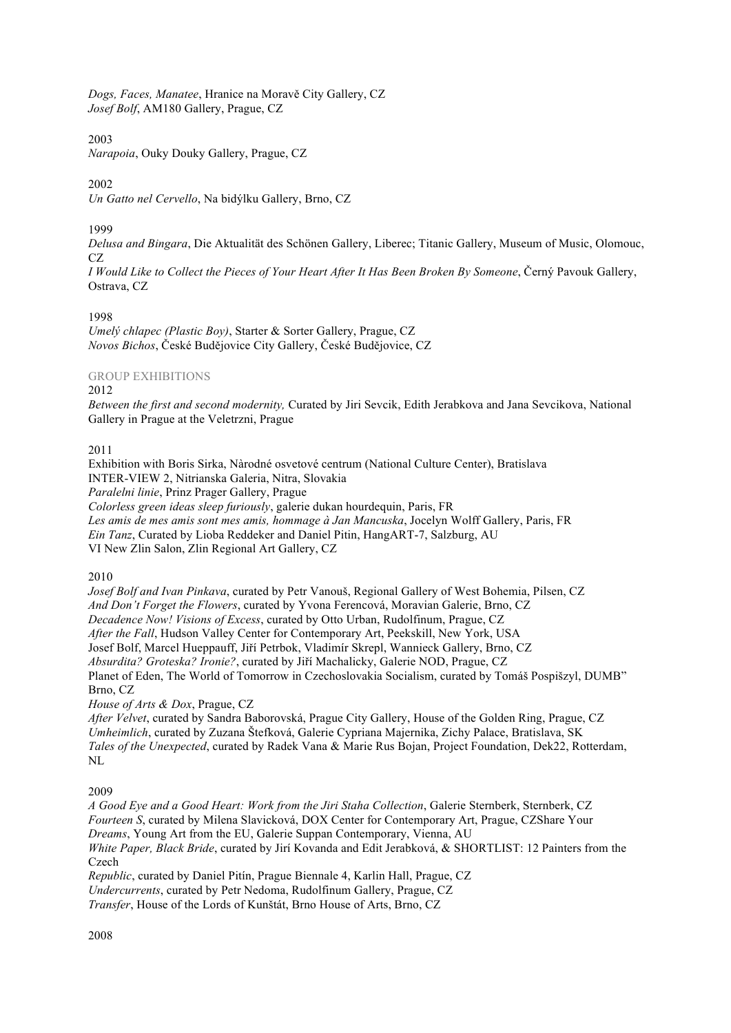*Dogs, Faces, Manatee*, Hranice na Moravě City Gallery, CZ *Josef Bolf*, AM180 Gallery, Prague, CZ

2003

*Narapoia*, Ouky Douky Gallery, Prague, CZ

## 2002

*Un Gatto nel Cervello*, Na bidýlku Gallery, Brno, CZ

1999

*Delusa and Bingara*, Die Aktualität des Schönen Gallery, Liberec; Titanic Gallery, Museum of Music, Olomouc, CZ.

*I Would Like to Collect the Pieces of Your Heart After It Has Been Broken By Someone*, Černý Pavouk Gallery, Ostrava, CZ

1998

*Umelý chlapec (Plastic Boy)*, Starter & Sorter Gallery, Prague, CZ *Novos Bichos*, České Budějovice City Gallery, České Budějovice, CZ

## GROUP EXHIBITIONS

#### 2012

*Between the first and second modernity,* Curated by Jiri Sevcik, Edith Jerabkova and Jana Sevcikova, National Gallery in Prague at the Veletrzni, Prague

## 2011

Exhibition with Boris Sirka, Nàrodné osvetové centrum (National Culture Center), Bratislava INTER-VIEW 2, Nitrianska Galeria, Nitra, Slovakia *Paralelni linie*, Prinz Prager Gallery, Prague *Colorless green ideas sleep furiously*, galerie dukan hourdequin, Paris, FR *Les amis de mes amis sont mes amis, hommage à Jan Mancuska*, Jocelyn Wolff Gallery, Paris, FR *Ein Tanz*, Curated by Lioba Reddeker and Daniel Pitin, HangART-7, Salzburg, AU

VI New Zlin Salon, Zlin Regional Art Gallery, CZ

2010

*Josef Bolf and Ivan Pinkava*, curated by Petr Vanouš, Regional Gallery of West Bohemia, Pilsen, CZ *And Don't Forget the Flowers*, curated by Yvona Ferencová, Moravian Galerie, Brno, CZ *Decadence Now! Visions of Excess*, curated by Otto Urban, Rudolfinum, Prague, CZ *After the Fall*, Hudson Valley Center for Contemporary Art, Peekskill, New York, USA Josef Bolf, Marcel Hueppauff, Jiří Petrbok, Vladimír Skrepl, Wannieck Gallery, Brno, CZ *Absurdita? Groteska? Ironie?*, curated by Jiří Machalicky, Galerie NOD, Prague, CZ Planet of Eden, The World of Tomorrow in Czechoslovakia Socialism, curated by Tomáš Pospišzyl, DUMB" Brno, CZ

*House of Arts & Dox*, Prague, CZ

*After Velvet*, curated by Sandra Baborovská, Prague City Gallery, House of the Golden Ring, Prague, CZ *Umheimlich*, curated by Zuzana Štefková, Galerie Cypriana Majernika, Zichy Palace, Bratislava, SK *Tales of the Unexpected*, curated by Radek Vana & Marie Rus Bojan, Project Foundation, Dek22, Rotterdam, NL

# 2009

*A Good Eye and a Good Heart: Work from the Jiri Staha Collection*, Galerie Sternberk, Sternberk, CZ *Fourteen S*, curated by Milena Slavicková, DOX Center for Contemporary Art, Prague, CZShare Your *Dreams*, Young Art from the EU, Galerie Suppan Contemporary, Vienna, AU *White Paper, Black Bride*, curated by Jirí Kovanda and Edit Jerabková, & SHORTLIST: 12 Painters from the Czech *Republic*, curated by Daniel Pitín, Prague Biennale 4, Karlin Hall, Prague, CZ

*Undercurrents*, curated by Petr Nedoma, Rudolfinum Gallery, Prague, CZ *Transfer*, House of the Lords of Kunštát, Brno House of Arts, Brno, CZ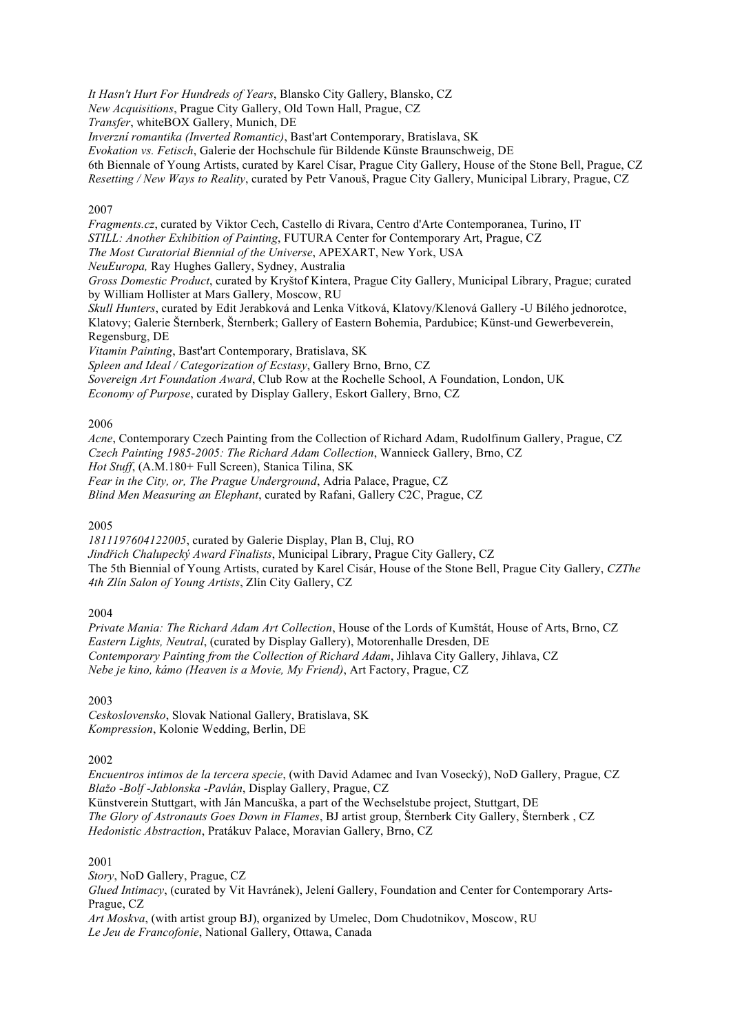*It Hasn't Hurt For Hundreds of Years*, Blansko City Gallery, Blansko, CZ

*New Acquisitions*, Prague City Gallery, Old Town Hall, Prague, CZ

*Transfer*, whiteBOX Gallery, Munich, DE

*Inverzní romantika (Inverted Romantic)*, Bast'art Contemporary, Bratislava, SK

*Evokation vs. Fetisch*, Galerie der Hochschule für Bildende Künste Braunschweig, DE

6th Biennale of Young Artists, curated by Karel Císar, Prague City Gallery, House of the Stone Bell, Prague, CZ

*Resetting / New Ways to Reality*, curated by Petr Vanouš, Prague City Gallery, Municipal Library, Prague, CZ

#### 2007

*Fragments.cz*, curated by Viktor Cech, Castello di Rivara, Centro d'Arte Contemporanea, Turino, IT *STILL: Another Exhibition of Painting*, FUTURA Center for Contemporary Art, Prague, CZ

*The Most Curatorial Biennial of the Universe*, APEXART, New York, USA

*NeuEuropa,* Ray Hughes Gallery, Sydney, Australia

*Gross Domestic Product*, curated by Kryštof Kintera, Prague City Gallery, Municipal Library, Prague; curated by William Hollister at Mars Gallery, Moscow, RU

*Skull Hunters*, curated by Edit Jerabková and Lenka Vítková, Klatovy/Klenová Gallery -U Bílého jednorotce, Klatovy; Galerie Šternberk, Šternberk; Gallery of Eastern Bohemia, Pardubice; Künst-und Gewerbeverein, Regensburg, DE

*Vitamin Painting*, Bast'art Contemporary, Bratislava, SK

*Spleen and Ideal / Categorization of Ecstasy*, Gallery Brno, Brno, CZ

*Sovereign Art Foundation Award*, Club Row at the Rochelle School, A Foundation, London, UK

*Economy of Purpose*, curated by Display Gallery, Eskort Gallery, Brno, CZ

#### 2006

*Acne*, Contemporary Czech Painting from the Collection of Richard Adam, Rudolfinum Gallery, Prague, CZ *Czech Painting 1985-2005: The Richard Adam Collection*, Wannieck Gallery, Brno, CZ *Hot Stuff*, (A.M.180+ Full Screen), Stanica Tilina, SK *Fear in the City, or, The Prague Underground*, Adria Palace, Prague, CZ *Blind Men Measuring an Elephant*, curated by Rafani, Gallery C2C, Prague, CZ

2005

*1811197604122005*, curated by Galerie Display, Plan B, Cluj, RO

*Jindřich Chalupecký Award Finalists*, Municipal Library, Prague City Gallery, CZ The 5th Biennial of Young Artists, curated by Karel Cisár, House of the Stone Bell, Prague City Gallery, *CZThe 4th Zlín Salon of Young Artists*, Zlín City Gallery, CZ

2004

*Private Mania: The Richard Adam Art Collection*, House of the Lords of Kumštát, House of Arts, Brno, CZ *Eastern Lights, Neutral*, (curated by Display Gallery), Motorenhalle Dresden, DE *Contemporary Painting from the Collection of Richard Adam*, Jihlava City Gallery, Jihlava, CZ *Nebe je kino, kámo (Heaven is a Movie, My Friend)*, Art Factory, Prague, CZ

2003

*Ceskoslovensko*, Slovak National Gallery, Bratislava, SK *Kompression*, Kolonie Wedding, Berlin, DE

2002

*Encuentros intimos de la tercera specie*, (with David Adamec and Ivan Vosecký), NoD Gallery, Prague, CZ *Blažo -Bolf -Jablonska -Pavlán*, Display Gallery, Prague, CZ Künstverein Stuttgart, with Ján Mancuška, a part of the Wechselstube project, Stuttgart, DE *The Glory of Astronauts Goes Down in Flames*, BJ artist group, Šternberk City Gallery, Šternberk , CZ *Hedonistic Abstraction*, Pratákuv Palace, Moravian Gallery, Brno, CZ

2001

*Story*, NoD Gallery, Prague, CZ

*Glued Intimacy*, (curated by Vit Havránek), Jelení Gallery, Foundation and Center for Contemporary Arts-Prague, CZ

*Art Moskva*, (with artist group BJ), organized by Umelec, Dom Chudotnikov, Moscow, RU *Le Jeu de Francofonie*, National Gallery, Ottawa, Canada